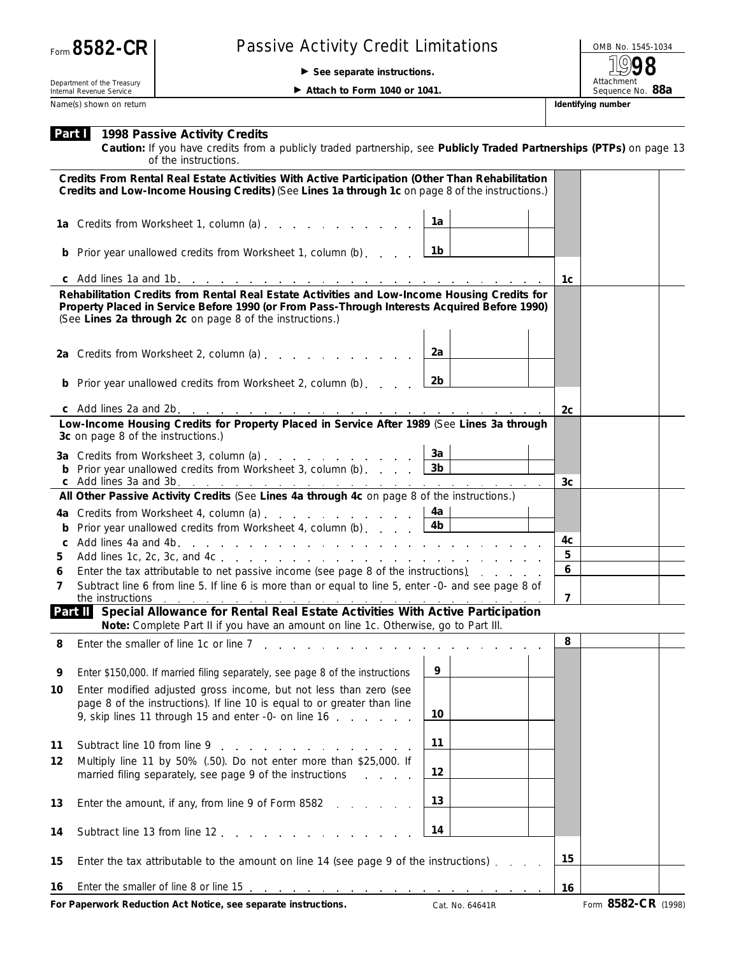## Passive Activity Credit Limitations **Department COMB No. 1545-1034**<br>
Form See separate instructions

© **See separate instructions.**

Attachment<br>Sequence No. 88a **1998**

Department of the Treasury Internal Revenue Service Name(s) shown on return **Identifying number Identifying number Identifying number** 

▶ Attach to Form 1040 or 1041.

|    | <b>Part 1998 Passive Activity Credits</b><br>Caution: If you have credits from a publicly traded partnership, see Publicly Traded Partnerships (PTPs) on page 13<br>of the instructions.                                                                 |                 |                |                     |  |
|----|----------------------------------------------------------------------------------------------------------------------------------------------------------------------------------------------------------------------------------------------------------|-----------------|----------------|---------------------|--|
|    | Credits From Rental Real Estate Activities With Active Participation (Other Than Rehabilitation<br>Credits and Low-Income Housing Credits) (See Lines 1a through 1c on page 8 of the instructions.)                                                      |                 |                |                     |  |
|    | 1a Credits from Worksheet 1, column (a)                                                                                                                                                                                                                  | 1a              |                |                     |  |
|    | <b>b</b> Prior year unallowed credits from Worksheet 1, column (b)                                                                                                                                                                                       | 1b              |                |                     |  |
|    |                                                                                                                                                                                                                                                          | 1c              |                |                     |  |
|    | Rehabilitation Credits from Rental Real Estate Activities and Low-Income Housing Credits for<br>Property Placed in Service Before 1990 (or From Pass-Through Interests Acquired Before 1990)<br>(See Lines 2a through 2c on page 8 of the instructions.) |                 |                |                     |  |
|    | 2a Credits from Worksheet 2, column (a)                                                                                                                                                                                                                  | 2a              |                |                     |  |
|    | <b>b</b> Prior year unallowed credits from Worksheet 2, column (b)                                                                                                                                                                                       | 2b              |                |                     |  |
|    |                                                                                                                                                                                                                                                          |                 | 2c             |                     |  |
|    | Low-Income Housing Credits for Property Placed in Service After 1989 (See Lines 3a through<br>3c on page 8 of the instructions.)                                                                                                                         |                 |                |                     |  |
|    | 3a Credits from Worksheet 3, column (a)                                                                                                                                                                                                                  | За              |                |                     |  |
|    | <b>b</b> Prior year unallowed credits from Worksheet 3, column (b) $\ldots$ $\begin{array}{ccc} 3b & 3b \end{array}$<br>c Add lines 3a and 3b.                                                                                                           |                 | 3 <sub>c</sub> |                     |  |
|    | All Other Passive Activity Credits (See Lines 4a through 4c on page 8 of the instructions.)                                                                                                                                                              |                 |                |                     |  |
|    | 4a Credits from Worksheet 4, column (a) $\ldots$ $\ldots$ $\ldots$ $\ldots$ $\ldots$                                                                                                                                                                     | 4a              |                |                     |  |
|    | Prior year unallowed credits from Worksheet 4, column (b) $\ldots$ $\boxed{4b}$                                                                                                                                                                          |                 |                |                     |  |
| C  |                                                                                                                                                                                                                                                          |                 | 4c             |                     |  |
| 5  |                                                                                                                                                                                                                                                          |                 | 5              |                     |  |
| 6  | Enter the tax attributable to net passive income (see page 8 of the instructions).                                                                                                                                                                       |                 | 6              |                     |  |
| 7  | Subtract line 6 from line 5. If line 6 is more than or equal to line 5, enter -0- and see page 8 of<br>the instructions                                                                                                                                  |                 | $\overline{7}$ |                     |  |
|    | Part II Special Allowance for Rental Real Estate Activities With Active Participation<br>Note: Complete Part II if you have an amount on line 1c. Otherwise, go to Part III.                                                                             |                 |                |                     |  |
| 8  | Enter the smaller of line 1c or line 7                                                                                                                                                                                                                   |                 | 8              |                     |  |
| У  | Enter \$150,000. If married filing separately, see page 8 of the instructions                                                                                                                                                                            | 9               |                |                     |  |
| 10 | Enter modified adjusted gross income, but not less than zero (see<br>page 8 of the instructions). If line 10 is equal to or greater than line<br>9, skip lines 11 through 15 and enter -0- on line 16                                                    | 10              |                |                     |  |
| 11 | Subtract line 10 from line 9 and 1 and 1 and 1 and 1 and 1 and 1 and 1 and 1 and 1 and 1 and 1 and 1 and 1 and 1 and 1 and 1 and 1 and 1 and 1 and 1 and 1 and 1 and 1 and 1 and 1 and 1 and 1 and 1 and 1 and 1 and 1 and 1 a                           | 11              |                |                     |  |
| 12 | Multiply line 11 by 50% (.50). Do not enter more than \$25,000. If<br>married filing separately, see page 9 of the instructions<br>and the control                                                                                                       | 12              |                |                     |  |
| 13 | Enter the amount, if any, from line 9 of Form 8582                                                                                                                                                                                                       | 13              |                |                     |  |
| 14 | Subtract line 13 from line 12.                                                                                                                                                                                                                           | 14              |                |                     |  |
| 15 | Enter the tax attributable to the amount on line 14 (see page 9 of the instructions).                                                                                                                                                                    |                 |                |                     |  |
| 16 | Enter the smaller of line 8 or line 15 $\ldots$ $\ldots$ $\ldots$ $\ldots$ $\ldots$ $\ldots$ $\ldots$ $\ldots$                                                                                                                                           |                 | 16             |                     |  |
|    | For Paperwork Reduction Act Notice, see separate instructions.                                                                                                                                                                                           | Cat. No. 64641R |                | Form 8582-CR (1998) |  |